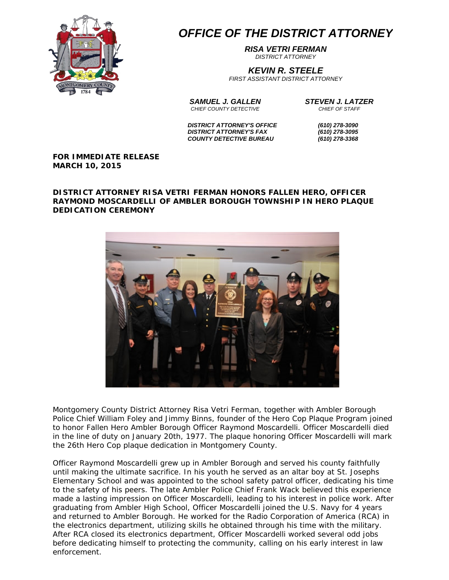

## *OFFICE OF THE DISTRICT ATTORNEY*

*RISA VETRI FERMAN DISTRICT ATTORNEY*

*KEVIN R. STEELE*

*FIRST ASSISTANT DISTRICT ATTORNEY*

*SAMUEL J. GALLEN STEVEN J. LATZER CHIEF COUNTY DETECTIVE CHIEF OF STAFF*

 *DISTRICT ATTORNEY'S OFFICE (610) 278-3090 DISTRICT ATTORNEY'S FAX (610) 278-3095 COUNTY DETECTIVE BUREAU (610) 278-3368*

**FOR IMMEDIATE RELEASE MARCH 10, 2015**

## **DISTRICT ATTORNEY RISA VETRI FERMAN HONORS FALLEN HERO, OFFICER RAYMOND MOSCARDELLI OF AMBLER BOROUGH TOWNSHIP IN HERO PLAQUE DEDICATION CEREMONY**



Montgomery County District Attorney Risa Vetri Ferman, together with Ambler Borough Police Chief William Foley and Jimmy Binns, founder of the Hero Cop Plaque Program joined to honor Fallen Hero Ambler Borough Officer Raymond Moscardelli. Officer Moscardelli died in the line of duty on January 20th, 1977. The plaque honoring Officer Moscardelli will mark the 26th Hero Cop plaque dedication in Montgomery County.

Officer Raymond Moscardelli grew up in Ambler Borough and served his county faithfully until making the ultimate sacrifice. In his youth he served as an altar boy at St. Josephs Elementary School and was appointed to the school safety patrol officer, dedicating his time to the safety of his peers. The late Ambler Police Chief Frank Wack believed this experience made a lasting impression on Officer Moscardelli, leading to his interest in police work. After graduating from Ambler High School, Officer Moscardelli joined the U.S. Navy for 4 years and returned to Ambler Borough. He worked for the Radio Corporation of America (RCA) in the electronics department, utilizing skills he obtained through his time with the military. After RCA closed its electronics department, Officer Moscardelli worked several odd jobs before dedicating himself to protecting the community, calling on his early interest in law enforcement.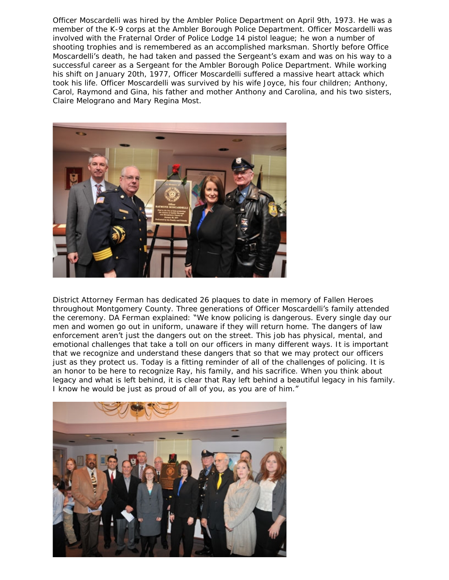Officer Moscardelli was hired by the Ambler Police Department on April 9th, 1973. He was a member of the K-9 corps at the Ambler Borough Police Department. Officer Moscardelli was involved with the Fraternal Order of Police Lodge 14 pistol league; he won a number of shooting trophies and is remembered as an accomplished marksman. Shortly before Office Moscardelli's death, he had taken and passed the Sergeant's exam and was on his way to a successful career as a Sergeant for the Ambler Borough Police Department. While working his shift on January 20th, 1977, Officer Moscardelli suffered a massive heart attack which took his life. Officer Moscardelli was survived by his wife Joyce, his four children; Anthony, Carol, Raymond and Gina, his father and mother Anthony and Carolina, and his two sisters, Claire Melograno and Mary Regina Most.



District Attorney Ferman has dedicated 26 plaques to date in memory of Fallen Heroes throughout Montgomery County. Three generations of Officer Moscardelli's family attended the ceremony. DA Ferman explained: "We know policing is dangerous. Every single day our men and women go out in uniform, unaware if they will return home. The dangers of law enforcement aren't just the dangers out on the street. This job has physical, mental, and emotional challenges that take a toll on our officers in many different ways. It is important that we recognize and understand these dangers that so that we may protect our officers just as they protect us. Today is a fitting reminder of all of the challenges of policing. It is an honor to be here to recognize Ray, his family, and his sacrifice. When you think about legacy and what is left behind, it is clear that Ray left behind a beautiful legacy in his family. I know he would be just as proud of all of you, as you are of him."

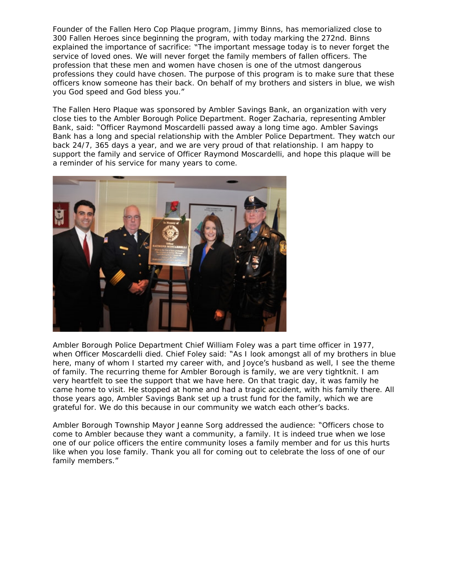Founder of the Fallen Hero Cop Plaque program, Jimmy Binns, has memorialized close to 300 Fallen Heroes since beginning the program, with today marking the 272nd. Binns explained the importance of sacrifice: "The important message today is to never forget the service of loved ones. We will never forget the family members of fallen officers. The profession that these men and women have chosen is one of the utmost dangerous professions they could have chosen. The purpose of this program is to make sure that these officers know someone has their back. On behalf of my brothers and sisters in blue, we wish you God speed and God bless you."

The Fallen Hero Plaque was sponsored by Ambler Savings Bank, an organization with very close ties to the Ambler Borough Police Department. Roger Zacharia, representing Ambler Bank, said: "Officer Raymond Moscardelli passed away a long time ago. Ambler Savings Bank has a long and special relationship with the Ambler Police Department. They watch our back 24/7, 365 days a year, and we are very proud of that relationship. I am happy to support the family and service of Officer Raymond Moscardelli, and hope this plaque will be a reminder of his service for many years to come.



Ambler Borough Police Department Chief William Foley was a part time officer in 1977, when Officer Moscardelli died. Chief Foley said: "As I look amongst all of my brothers in blue here, many of whom I started my career with, and Joyce's husband as well, I see the theme of family. The recurring theme for Ambler Borough is family, we are very tightknit. I am very heartfelt to see the support that we have here. On that tragic day, it was family he came home to visit. He stopped at home and had a tragic accident, with his family there. All those years ago, Ambler Savings Bank set up a trust fund for the family, which we are grateful for. We do this because in our community we watch each other's backs.

Ambler Borough Township Mayor Jeanne Sorg addressed the audience: "Officers chose to come to Ambler because they want a community, a family. It is indeed true when we lose one of our police officers the entire community loses a family member and for us this hurts like when you lose family. Thank you all for coming out to celebrate the loss of one of our family members."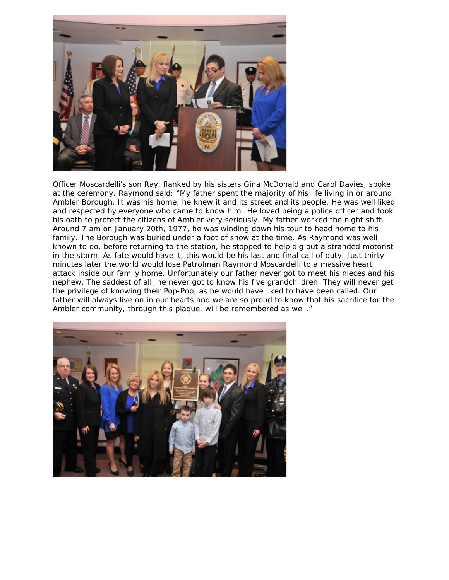

Officer Moscardelli's son Ray, flanked by his sisters Gina McDonald and Carol Davies, spoke at the ceremony. Raymond said: "My father spent the majority of his life living in or around Ambler Borough. It was his home, he knew it and its street and its people. He was well liked and respected by everyone who came to know him…He loved being a police officer and took his oath to protect the citizens of Ambler very seriously. My father worked the night shift. Around 7 am on January 20th, 1977, he was winding down his tour to head home to his family. The Borough was buried under a foot of snow at the time. As Raymond was well known to do, before returning to the station, he stopped to help dig out a stranded motorist in the storm. As fate would have it, this would be his last and final call of duty. Just thirty minutes later the world would lose Patrolman Raymond Moscardelli to a massive heart attack inside our family home. Unfortunately our father never got to meet his nieces and his nephew. The saddest of all, he never got to know his five grandchildren. They will never get the privilege of knowing their Pop-Pop, as he would have liked to have been called. Our father will always live on in our hearts and we are so proud to know that his sacrifice for the Ambler community, through this plaque, will be remembered as well."